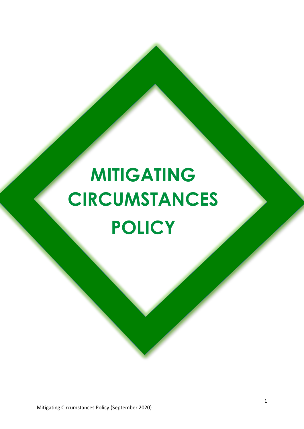# **MITIGATING CIRCUMSTANCES POLICY**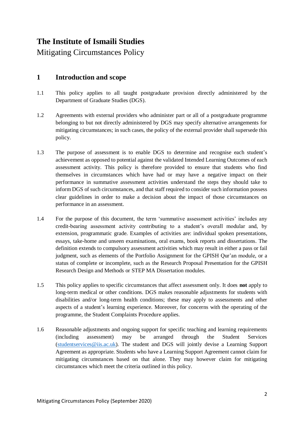# **The Institute of Ismaili Studies**

Mitigating Circumstances Policy

### **1 Introduction and scope**

- 1.1 This policy applies to all taught postgraduate provision directly administered by the Department of Graduate Studies (DGS).
- 1.2 Agreements with external providers who administer part or all of a postgraduate programme belonging to but not directly administered by DGS may specify alternative arrangements for mitigating circumstances; in such cases, the policy of the external provider shall supersede this policy.
- 1.3 The purpose of assessment is to enable DGS to determine and recognise each student's achievement as opposed to potential against the validated Intended Learning Outcomes of each assessment activity. This policy is therefore provided to ensure that students who find themselves in circumstances which have had or may have a negative impact on their performance in summative assessment activities understand the steps they should take to inform DGS of such circumstances, and that staff required to consider such information possess clear guidelines in order to make a decision about the impact of those circumstances on performance in an assessment.
- 1.4 For the purpose of this document, the term 'summative assessment activities' includes any credit-bearing assessment activity contributing to a student's overall modular and, by extension, programmatic grade. Examples of activities are: individual spoken presentations, essays, take-home and unseen examinations, oral exams, book reports and dissertations. The definition extends to compulsory assessment activities which may result in either a pass or fail judgment, such as elements of the Portfolio Assignment for the GPISH Qur'an module, or a status of complete or incomplete, such as the Research Proposal Presentation for the GPISH Research Design and Methods or STEP MA Dissertation modules.
- 1.5 This policy applies to specific circumstances that affect assessment only. It does **not** apply to long-term medical or other conditions. DGS makes reasonable adjustments for students with disabilities and/or long-term health conditions; these may apply to assessments and other aspects of a student's learning experience. Moreover, for concerns with the operating of the programme, the Student Complaints Procedure applies.
- 1.6 Reasonable adjustments and ongoing support for specific teaching and learning requirements (including assessment) may be arranged through the Student Services  $(\text{students}$ ervices@iis.ac.uk). The student and DGS will jointly devise a Learning Support Agreement as appropriate. Students who have a Learning Support Agreement cannot claim for mitigating circumstances based on that alone. They may however claim for mitigating circumstances which meet the criteria outlined in this policy.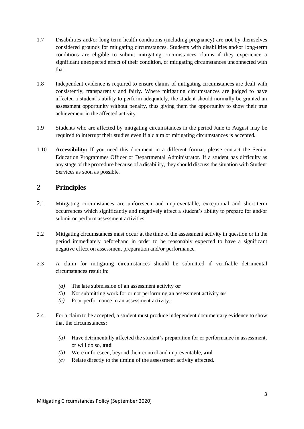- 1.7 Disabilities and/or long-term health conditions (including pregnancy) are **not** by themselves considered grounds for mitigating circumstances. Students with disabilities and/or long-term conditions are eligible to submit mitigating circumstances claims if they experience a significant unexpected effect of their condition, or mitigating circumstances unconnected with that.
- 1.8 Independent evidence is required to ensure claims of mitigating circumstances are dealt with consistently, transparently and fairly. Where mitigating circumstances are judged to have affected a student's ability to perform adequately, the student should normally be granted an assessment opportunity without penalty, thus giving them the opportunity to show their true achievement in the affected activity.
- 1.9 Students who are affected by mitigating circumstances in the period June to August may be required to interrupt their studies even if a claim of mitigating circumstances is accepted.
- 1.10 **Accessibility:** If you need this document in a different format, please contact the Senior Education Programmes Officer or Departmental Administrator. If a student has difficulty as any stage of the procedure because of a disability, they should discuss the situation with Student Services as soon as possible.

### **2 Principles**

- 2.1 Mitigating circumstances are unforeseen and unpreventable, exceptional and short-term occurrences which significantly and negatively affect a student's ability to prepare for and/or submit or perform assessment activities.
- 2.2 Mitigating circumstances must occur at the time of the assessment activity in question or in the period immediately beforehand in order to be reasonably expected to have a significant negative effect on assessment preparation and/or performance.
- 2.3 A claim for mitigating circumstances should be submitted if verifiable detrimental circumstances result in:
	- *(a)* The late submission of an assessment activity **or**
	- *(b)* Not submitting work for or not performing an assessment activity **or**
	- *(c)* Poor performance in an assessment activity.
- 2.4 For a claim to be accepted, a student must produce independent documentary evidence to show that the circumstances:
	- *(a)* Have detrimentally affected the student's preparation for or performance in assessment, or will do so, **and**
	- *(b)* Were unforeseen, beyond their control and unpreventable, **and**
	- *(c)* Relate directly to the timing of the assessment activity affected.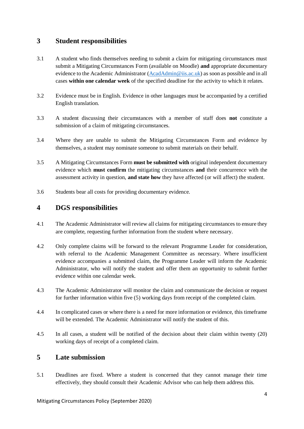#### **3 Student responsibilities**

- 3.1 A student who finds themselves needing to submit a claim for mitigating circumstances must submit a Mitigating Circumstances Form (available on Moodle) **and** appropriate documentary evidence to the Academic Administrator [\(AcadAdmin@iis.ac.uk\)](mailto:AcadAdmin@iis.ac.uk) as soon as possible and in all cases **within one calendar week** of the specified deadline for the activity to which it relates.
- 3.2 Evidence must be in English. Evidence in other languages must be accompanied by a certified English translation.
- 3.3 A student discussing their circumstances with a member of staff does **not** constitute a submission of a claim of mitigating circumstances.
- 3.4 Where they are unable to submit the Mitigating Circumstances Form and evidence by themselves, a student may nominate someone to submit materials on their behalf.
- 3.5 A Mitigating Circumstances Form **must be submitted with** original independent documentary evidence which **must confirm** the mitigating circumstances **and** their concurrence with the assessment activity in question, **and state how** they have affected (or will affect) the student.
- 3.6 Students bear all costs for providing documentary evidence.

#### **4 DGS responsibilities**

- 4.1 The Academic Administrator will review all claims for mitigating circumstances to ensure they are complete, requesting further information from the student where necessary.
- 4.2 Only complete claims will be forward to the relevant Programme Leader for consideration, with referral to the Academic Management Committee as necessary. Where insufficient evidence accompanies a submitted claim, the Programme Leader will inform the Academic Administrator, who will notify the student and offer them an opportunity to submit further evidence within one calendar week.
- 4.3 The Academic Administrator will monitor the claim and communicate the decision or request for further information within five (5) working days from receipt of the completed claim.
- 4.4 In complicated cases or where there is a need for more information or evidence, this timeframe will be extended. The Academic Administrator will notify the student of this.
- 4.5 In all cases, a student will be notified of the decision about their claim within twenty (20) working days of receipt of a completed claim.

## **5 Late submission**

5.1 Deadlines are fixed. Where a student is concerned that they cannot manage their time effectively, they should consult their Academic Advisor who can help them address this.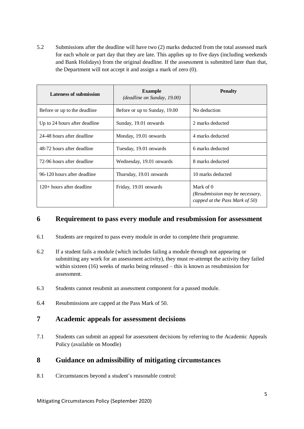5.2 Submissions after the deadline will have two (2) marks deducted from the total assessed mark for each whole or part day that they are late. This applies up to five days (including weekends and Bank Holidays) from the original deadline. If the assessment is submitted later than that, the Department will not accept it and assign a mark of zero (0).

| <b>Lateness of submission</b> | <b>Example</b><br>(deadline on Sunday, 19.00) | <b>Penalty</b>                                                                        |  |
|-------------------------------|-----------------------------------------------|---------------------------------------------------------------------------------------|--|
| Before or up to the deadline  | Before or up to Sunday, 19.00                 | No deduction                                                                          |  |
| Up to 24 hours after deadline | Sunday, 19.01 onwards                         | 2 marks deducted                                                                      |  |
| 24-48 hours after deadline    | Monday, 19.01 onwards                         | 4 marks deducted                                                                      |  |
| 48-72 hours after deadline    | Tuesday, 19.01 onwards                        | 6 marks deducted                                                                      |  |
| 72-96 hours after deadline    | Wednesday, 19.01 onwards                      | 8 marks deducted                                                                      |  |
| 96-120 hours after deadline   | Thursday, 19.01 onwards                       | 10 marks deducted                                                                     |  |
| 120+ hours after deadline     | Friday, 19.01 onwards                         | Mark of $\theta$<br>(Resubmission may be necessary,<br>capped at the Pass Mark of 50) |  |

#### **6 Requirement to pass every module and resubmission for assessment**

- 6.1 Students are required to pass every module in order to complete their programme.
- 6.2 If a student fails a module (which includes failing a module through not appearing or submitting any work for an assessment activity), they must re-attempt the activity they failed within sixteen (16) weeks of marks being released – this is known as resubmission for assessment.
- 6.3 Students cannot resubmit an assessment component for a passed module.
- 6.4 Resubmissions are capped at the Pass Mark of 50.

#### **7 Academic appeals for assessment decisions**

7.1 Students can submit an appeal for assessment decisions by referring to the Academic Appeals Policy (available on Moodle)

#### **8 Guidance on admissibility of mitigating circumstances**

8.1 Circumstances beyond a student's reasonable control: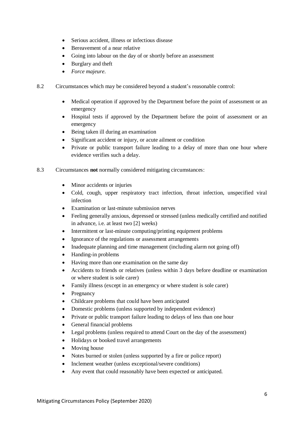- Serious accident, illness or infectious disease
- Bereavement of a near relative
- Going into labour on the day of or shortly before an assessment
- Burglary and theft
- *Force majeure*.
- 8.2 Circumstances which may be considered beyond a student's reasonable control:
	- Medical operation if approved by the Department before the point of assessment or an emergency
	- Hospital tests if approved by the Department before the point of assessment or an emergency
	- Being taken ill during an examination
	- Significant accident or injury, or acute ailment or condition
	- Private or public transport failure leading to a delay of more than one hour where evidence verifies such a delay.
- 8.3 Circumstances **not** normally considered mitigating circumstances:
	- Minor accidents or injuries
	- Cold, cough, upper respiratory tract infection, throat infection, unspecified viral infection
	- Examination or last-minute submission nerves
	- Feeling generally anxious, depressed or stressed (unless medically certified and notified in advance, i.e. at least two [2] weeks)
	- Intermittent or last-minute computing/printing equipment problems
	- Ignorance of the regulations or assessment arrangements
	- Inadequate planning and time management (including alarm not going off)
	- Handing-in problems
	- Having more than one examination on the same day
	- Accidents to friends or relatives (unless within 3 days before deadline or examination or where student is sole carer)
	- Family illness (except in an emergency or where student is sole carer)
	- Pregnancy
	- Childcare problems that could have been anticipated
	- Domestic problems (unless supported by independent evidence)
	- Private or public transport failure leading to delays of less than one hour
	- General financial problems
	- Legal problems (unless required to attend Court on the day of the assessment)
	- Holidays or booked travel arrangements
	- Moving house
	- Notes burned or stolen (unless supported by a fire or police report)
	- Inclement weather (unless exceptional/severe conditions)
	- Any event that could reasonably have been expected or anticipated.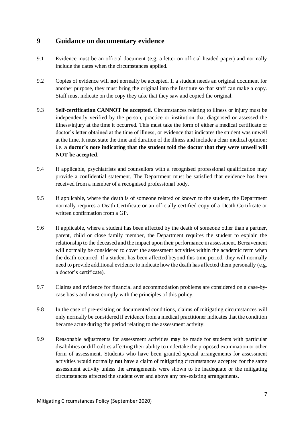#### **9 Guidance on documentary evidence**

- 9.1 Evidence must be an official document (e.g. a letter on official headed paper) and normally include the dates when the circumstances applied.
- 9.2 Copies of evidence will **not** normally be accepted. If a student needs an original document for another purpose, they must bring the original into the Institute so that staff can make a copy. Staff must indicate on the copy they take that they saw and copied the original.
- 9.3 **Self-certification CANNOT be accepted.** Circumstances relating to illness or injury must be independently verified by the person, practice or institution that diagnosed or assessed the illness/injury at the time it occurred. This must take the form of either a medical certificate or doctor's letter obtained at the time of illness, or evidence that indicates the student was unwell at the time. It must state the time and duration of the illness and include a clear medical opinion: i.e. **a doctor's note indicating that the student told the doctor that they were unwell will NOT be accepted**.
- 9.4 If applicable, psychiatrists and counsellors with a recognised professional qualification may provide a confidential statement. The Department must be satisfied that evidence has been received from a member of a recognised professional body.
- 9.5 If applicable, where the death is of someone related or known to the student, the Department normally requires a Death Certificate or an officially certified copy of a Death Certificate or written confirmation from a GP.
- 9.6 If applicable, where a student has been affected by the death of someone other than a partner, parent, child or close family member, the Department requires the student to explain the relationship to the deceased and the impact upon their performance in assessment. Bereavement will normally be considered to cover the assessment activities within the academic term when the death occurred. If a student has been affected beyond this time period, they will normally need to provide additional evidence to indicate how the death has affected them personally (e.g. a doctor's certificate).
- 9.7 Claims and evidence for financial and accommodation problems are considered on a case-bycase basis and must comply with the principles of this policy.
- 9.8 In the case of pre-existing or documented conditions, claims of mitigating circumstances will only normally be considered if evidence from a medical practitioner indicates that the condition became acute during the period relating to the assessment activity.
- 9.9 Reasonable adjustments for assessment activities may be made for students with particular disabilities or difficulties affecting their ability to undertake the proposed examination or other form of assessment. Students who have been granted special arrangements for assessment activities would normally **not** have a claim of mitigating circumstances accepted for the same assessment activity unless the arrangements were shown to be inadequate or the mitigating circumstances affected the student over and above any pre-existing arrangements.